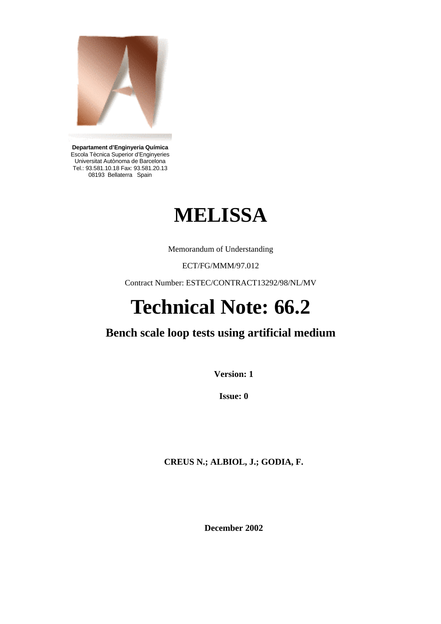

**Departament d'Enginyeria Química**  Escola Tècnica Superior d'Enginyeries Universitat Autònoma de Barcelona Tel.: 93.581.10.18 Fax: 93.581.20.13 08193 Bellaterra Spain

# **MELISSA**

Memorandum of Understanding

ECT/FG/MMM/97.012

Contract Number: ESTEC/CONTRACT13292/98/NL/MV

# **Technical Note: 66.2**

# **Bench scale loop tests using artificial medium**

**Version: 1** 

**Issue: 0** 

**CREUS N.; ALBIOL, J.; GODIA, F.** 

**December 2002**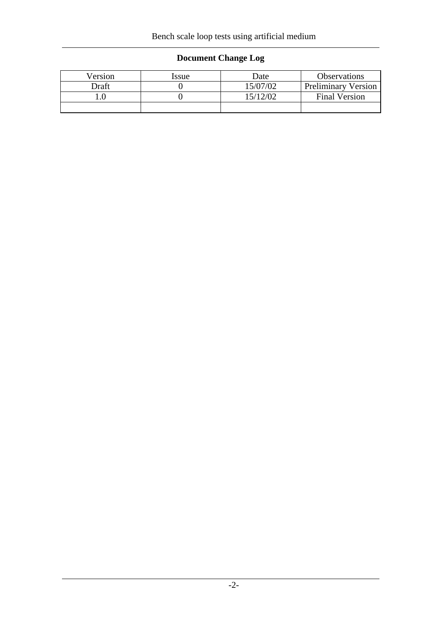## **Document Change Log**

| Version | Issue | Date     | Observations               |  |
|---------|-------|----------|----------------------------|--|
| Draft   |       |          | <b>Preliminary Version</b> |  |
|         |       | 15/12/02 | <b>Final Version</b>       |  |
|         |       |          |                            |  |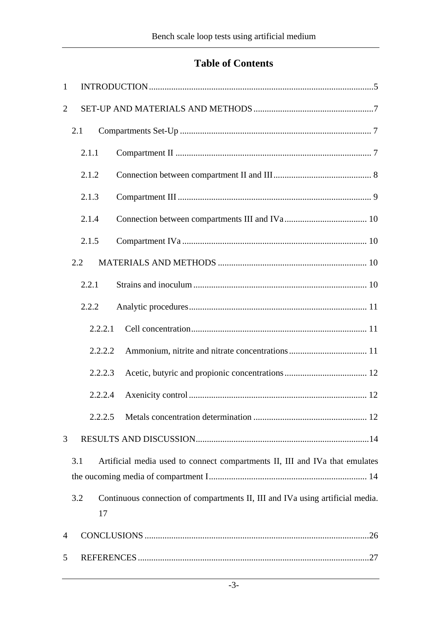## **Table of Contents**

| 1              |           |                                                                               |
|----------------|-----------|-------------------------------------------------------------------------------|
| $\overline{2}$ |           |                                                                               |
|                | 2.1       |                                                                               |
|                | 2.1.1     |                                                                               |
|                | 2.1.2     |                                                                               |
|                | 2.1.3     |                                                                               |
|                | 2.1.4     |                                                                               |
|                | 2.1.5     |                                                                               |
|                | 2.2       |                                                                               |
|                | 2.2.1     |                                                                               |
|                | 2.2.2     |                                                                               |
|                | 2.2.2.1   |                                                                               |
|                | 2.2.2.2   |                                                                               |
|                | 2.2.2.3   |                                                                               |
|                | 2.2.2.4   |                                                                               |
|                | 2.2.2.5   |                                                                               |
| 3              |           |                                                                               |
|                | 3.1       | Artificial media used to connect compartments II, III and IVa that emulates   |
|                | 3.2<br>17 | Continuous connection of compartments II, III and IVa using artificial media. |
| $\overline{4}$ |           |                                                                               |
| 5              |           |                                                                               |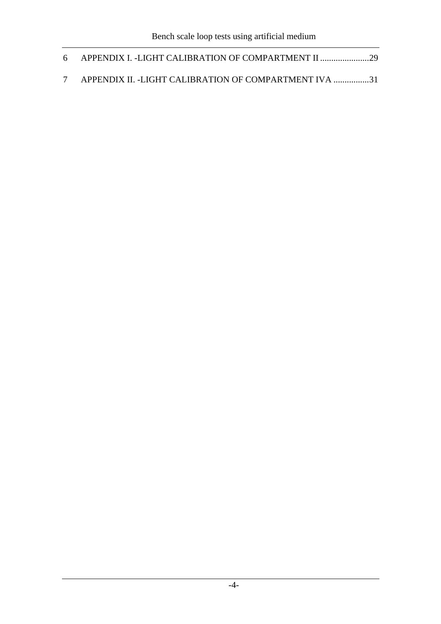| 6 APPENDIX I. -LIGHT CALIBRATION OF COMPARTMENT II      |  |
|---------------------------------------------------------|--|
| 7 APPENDIX II. -LIGHT CALIBRATION OF COMPARTMENT IVA 31 |  |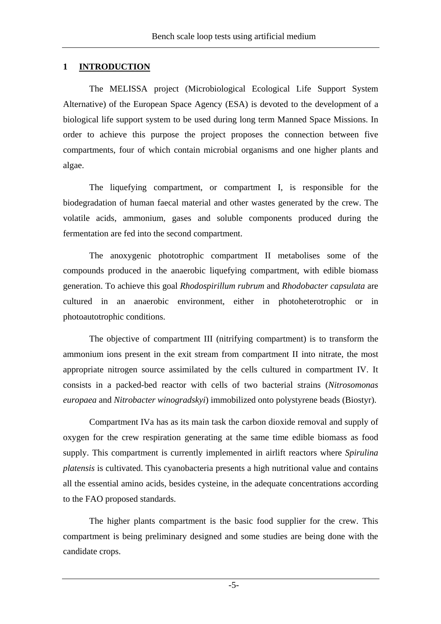#### **1 INTRODUCTION**

The MELISSA project (Microbiological Ecological Life Support System Alternative) of the European Space Agency (ESA) is devoted to the development of a biological life support system to be used during long term Manned Space Missions. In order to achieve this purpose the project proposes the connection between five compartments, four of which contain microbial organisms and one higher plants and algae.

The liquefying compartment, or compartment I, is responsible for the biodegradation of human faecal material and other wastes generated by the crew. The volatile acids, ammonium, gases and soluble components produced during the fermentation are fed into the second compartment.

The anoxygenic phototrophic compartment II metabolises some of the compounds produced in the anaerobic liquefying compartment, with edible biomass generation. To achieve this goal *Rhodospirillum rubrum* and *Rhodobacter capsulata* are cultured in an anaerobic environment, either in photoheterotrophic or in photoautotrophic conditions.

The objective of compartment III (nitrifying compartment) is to transform the ammonium ions present in the exit stream from compartment II into nitrate, the most appropriate nitrogen source assimilated by the cells cultured in compartment IV. It consists in a packed-bed reactor with cells of two bacterial strains (*Nitrosomonas europaea* and *Nitrobacter winogradskyi*) immobilized onto polystyrene beads (Biostyr).

Compartment IVa has as its main task the carbon dioxide removal and supply of oxygen for the crew respiration generating at the same time edible biomass as food supply. This compartment is currently implemented in airlift reactors where *Spirulina platensis* is cultivated. This cyanobacteria presents a high nutritional value and contains all the essential amino acids, besides cysteine, in the adequate concentrations according to the FAO proposed standards.

The higher plants compartment is the basic food supplier for the crew. This compartment is being preliminary designed and some studies are being done with the candidate crops.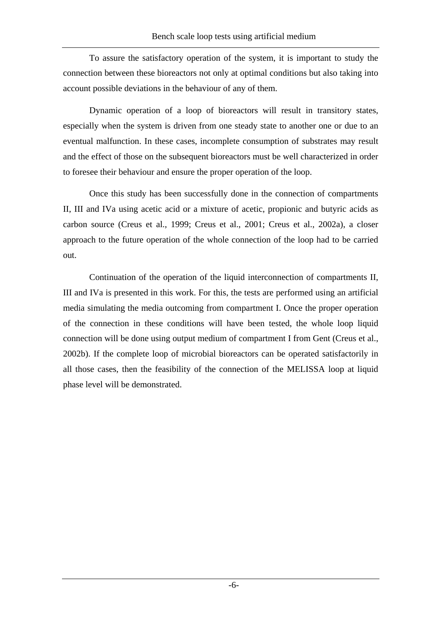To assure the satisfactory operation of the system, it is important to study the connection between these bioreactors not only at optimal conditions but also taking into account possible deviations in the behaviour of any of them.

Dynamic operation of a loop of bioreactors will result in transitory states, especially when the system is driven from one steady state to another one or due to an eventual malfunction. In these cases, incomplete consumption of substrates may result and the effect of those on the subsequent bioreactors must be well characterized in order to foresee their behaviour and ensure the proper operation of the loop.

Once this study has been successfully done in the connection of compartments II, III and IVa using acetic acid or a mixture of acetic, propionic and butyric acids as carbon source (Creus et al., 1999; Creus et al., 2001; Creus et al., 2002a), a closer approach to the future operation of the whole connection of the loop had to be carried out.

Continuation of the operation of the liquid interconnection of compartments II, III and IVa is presented in this work. For this, the tests are performed using an artificial media simulating the media outcoming from compartment I. Once the proper operation of the connection in these conditions will have been tested, the whole loop liquid connection will be done using output medium of compartment I from Gent (Creus et al., 2002b). If the complete loop of microbial bioreactors can be operated satisfactorily in all those cases, then the feasibility of the connection of the MELISSA loop at liquid phase level will be demonstrated.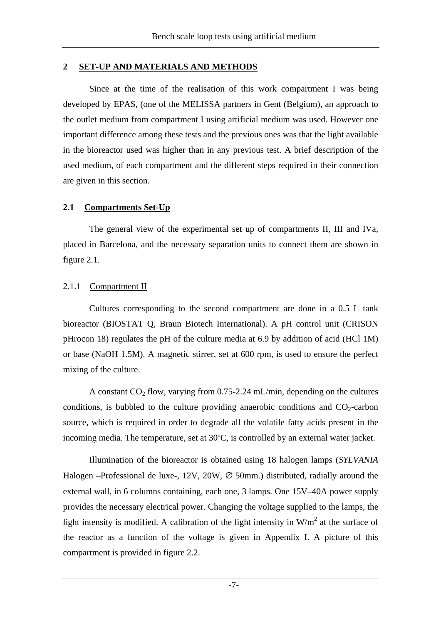#### **2 SET-UP AND MATERIALS AND METHODS**

Since at the time of the realisation of this work compartment I was being developed by EPAS, (one of the MELISSA partners in Gent (Belgium), an approach to the outlet medium from compartment I using artificial medium was used. However one important difference among these tests and the previous ones was that the light available in the bioreactor used was higher than in any previous test. A brief description of the used medium, of each compartment and the different steps required in their connection are given in this section.

#### **2.1 Compartments Set-Up**

The general view of the experimental set up of compartments II, III and IVa, placed in Barcelona, and the necessary separation units to connect them are shown in figure 2.1.

#### 2.1.1 Compartment II

Cultures corresponding to the second compartment are done in a 0.5 L tank bioreactor (BIOSTAT Q, Braun Biotech International). A pH control unit (CRISON pHrocon 18) regulates the pH of the culture media at 6.9 by addition of acid (HCl 1M) or base (NaOH 1.5M). A magnetic stirrer, set at 600 rpm, is used to ensure the perfect mixing of the culture.

A constant  $CO_2$  flow, varying from 0.75-2.24 mL/min, depending on the cultures conditions, is bubbled to the culture providing anaerobic conditions and  $CO_2$ -carbon source, which is required in order to degrade all the volatile fatty acids present in the incoming media. The temperature, set at 30ºC, is controlled by an external water jacket.

Illumination of the bioreactor is obtained using 18 halogen lamps (*SYLVANIA* Halogen –Professional de luxe-, 12V, 20W,  $\varnothing$  50mm.) distributed, radially around the external wall, in 6 columns containing, each one, 3 lamps. One 15V–40A power supply provides the necessary electrical power. Changing the voltage supplied to the lamps, the light intensity is modified. A calibration of the light intensity in  $W/m^2$  at the surface of the reactor as a function of the voltage is given in Appendix I. A picture of this compartment is provided in figure 2.2.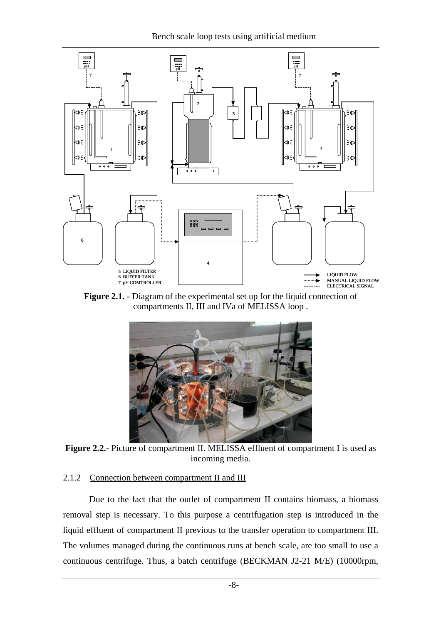Bench scale loop tests using artificial medium



**Figure 2.1. -** Diagram of the experimental set up for the liquid connection of compartments II, III and IVa of MELISSA loop .



**Figure 2.2.-** Picture of compartment II. MELISSA effluent of compartment I is used as incoming media.

#### 2.1.2 Connection between compartment II and III

Due to the fact that the outlet of compartment II contains biomass, a biomass removal step is necessary. To this purpose a centrifugation step is introduced in the liquid effluent of compartment II previous to the transfer operation to compartment III. The volumes managed during the continuous runs at bench scale, are too small to use a continuous centrifuge. Thus, a batch centrifuge (BECKMAN J2-21 M/E) (10000rpm,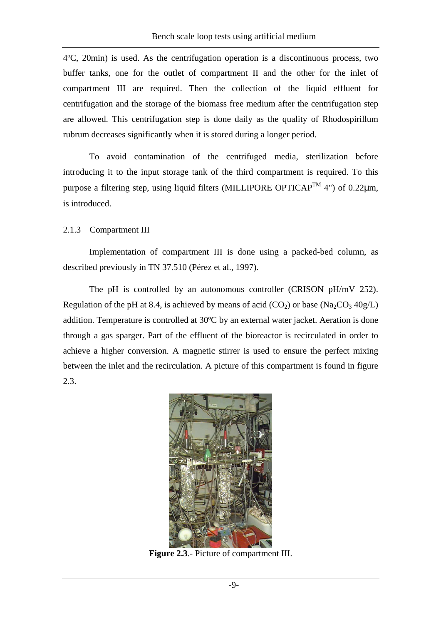4ºC, 20min) is used. As the centrifugation operation is a discontinuous process, two buffer tanks, one for the outlet of compartment II and the other for the inlet of compartment III are required. Then the collection of the liquid effluent for centrifugation and the storage of the biomass free medium after the centrifugation step are allowed. This centrifugation step is done daily as the quality of Rhodospirillum rubrum decreases significantly when it is stored during a longer period.

To avoid contamination of the centrifuged media, sterilization before introducing it to the input storage tank of the third compartment is required. To this purpose a filtering step, using liquid filters (MILLIPORE OPTICAP<sup>TM</sup> 4") of 0.22 $\mu$ m, is introduced.

#### 2.1.3 Compartment III

Implementation of compartment III is done using a packed-bed column, as described previously in TN 37.510 (Pérez et al., 1997).

The pH is controlled by an autonomous controller (CRISON pH/mV 252). Regulation of the pH at 8.4, is achieved by means of acid  $(CO_2)$  or base  $(Na_2CO_3 \cdot 40g/L)$ addition. Temperature is controlled at 30ºC by an external water jacket. Aeration is done through a gas sparger. Part of the effluent of the bioreactor is recirculated in order to achieve a higher conversion. A magnetic stirrer is used to ensure the perfect mixing between the inlet and the recirculation. A picture of this compartment is found in figure 2.3.



**Figure 2.3**.- Picture of compartment III.

-9-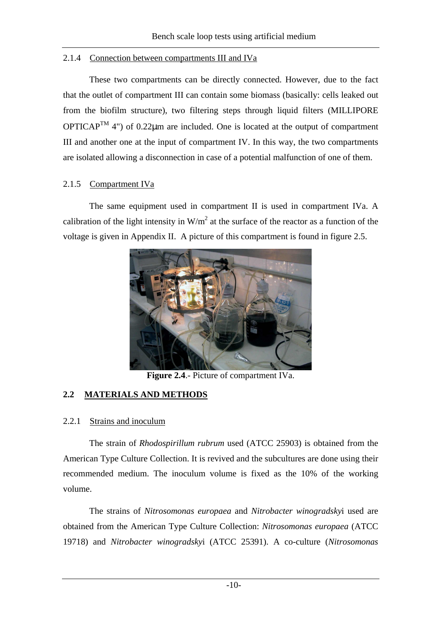#### 2.1.4 Connection between compartments III and IVa

These two compartments can be directly connected. However, due to the fact that the outlet of compartment III can contain some biomass (basically: cells leaked out from the biofilm structure), two filtering steps through liquid filters (MILLIPORE  $OPTICAP^{TM}$  4") of 0.22 $\mu$ m are included. One is located at the output of compartment III and another one at the input of compartment IV. In this way, the two compartments are isolated allowing a disconnection in case of a potential malfunction of one of them.

#### 2.1.5 Compartment IVa

The same equipment used in compartment II is used in compartment IVa. A calibration of the light intensity in  $W/m^2$  at the surface of the reactor as a function of the voltage is given in Appendix II. A picture of this compartment is found in figure 2.5.



**Figure 2.4**.- Picture of compartment IVa.

#### **2.2 MATERIALS AND METHODS**

#### 2.2.1 Strains and inoculum

The strain of *Rhodospirillum rubrum* used (ATCC 25903) is obtained from the American Type Culture Collection. It is revived and the subcultures are done using their recommended medium. The inoculum volume is fixed as the 10% of the working volume.

The strains of *Nitrosomonas europaea* and *Nitrobacter winogradsky*i used are obtained from the American Type Culture Collection: *Nitrosomonas europaea* (ATCC 19718) and *Nitrobacter winogradsky*i (ATCC 25391). A co-culture (*Nitrosomonas*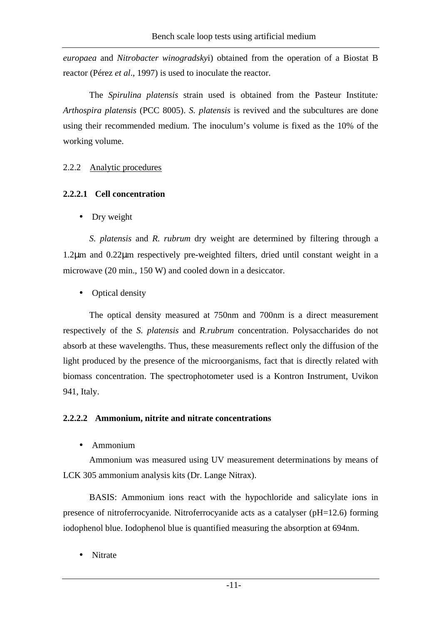*europaea* and *Nitrobacter winogradsky*i) obtained from the operation of a Biostat B reactor (Pérez *et al*., 1997) is used to inoculate the reactor.

The *Spirulina platensis* strain used is obtained from the Pasteur Institute*: Arthospira platensis* (PCC 8005). *S. platensis* is revived and the subcultures are done using their recommended medium. The inoculum's volume is fixed as the 10% of the working volume.

#### 2.2.2 Analytic procedures

#### **2.2.2.1 Cell concentration**

• Dry weight

*S. platensis* and *R. rubrum* dry weight are determined by filtering through a 1.2µm and 0.22µm respectively pre-weighted filters, dried until constant weight in a microwave (20 min., 150 W) and cooled down in a desiccator.

• Optical density

The optical density measured at 750nm and 700nm is a direct measurement respectively of the *S. platensis* and *R.rubrum* concentration. Polysaccharides do not absorb at these wavelengths. Thus, these measurements reflect only the diffusion of the light produced by the presence of the microorganisms, fact that is directly related with biomass concentration. The spectrophotometer used is a Kontron Instrument, Uvikon 941, Italy.

#### **2.2.2.2 Ammonium, nitrite and nitrate concentrations**

• Ammonium

Ammonium was measured using UV measurement determinations by means of LCK 305 ammonium analysis kits (Dr. Lange Nitrax).

BASIS: Ammonium ions react with the hypochloride and salicylate ions in presence of nitroferrocyanide. Nitroferrocyanide acts as a catalyser (pH=12.6) forming iodophenol blue. Iodophenol blue is quantified measuring the absorption at 694nm.

• Nitrate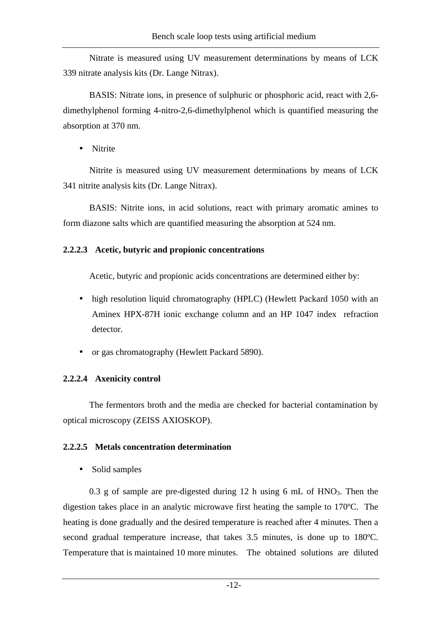Nitrate is measured using UV measurement determinations by means of LCK 339 nitrate analysis kits (Dr. Lange Nitrax).

BASIS: Nitrate ions, in presence of sulphuric or phosphoric acid, react with 2,6 dimethylphenol forming 4-nitro-2,6-dimethylphenol which is quantified measuring the absorption at 370 nm.

• Nitrite

Nitrite is measured using UV measurement determinations by means of LCK 341 nitrite analysis kits (Dr. Lange Nitrax).

BASIS: Nitrite ions, in acid solutions, react with primary aromatic amines to form diazone salts which are quantified measuring the absorption at 524 nm.

#### **2.2.2.3 Acetic, butyric and propionic concentrations**

Acetic, butyric and propionic acids concentrations are determined either by:

- high resolution liquid chromatography (HPLC) (Hewlett Packard 1050 with an Aminex HPX-87H ionic exchange column and an HP 1047 index refraction detector.
- or gas chromatography (Hewlett Packard 5890).

#### **2.2.2.4 Axenicity control**

The fermentors broth and the media are checked for bacterial contamination by optical microscopy (ZEISS AXIOSKOP).

#### **2.2.2.5 Metals concentration determination**

• Solid samples

0.3 g of sample are pre-digested during 12 h using 6 mL of  $HNO<sub>3</sub>$ . Then the digestion takes place in an analytic microwave first heating the sample to 170ºC. The heating is done gradually and the desired temperature is reached after 4 minutes. Then a second gradual temperature increase, that takes 3.5 minutes, is done up to 180ºC. Temperature that is maintained 10 more minutes. The obtained solutions are diluted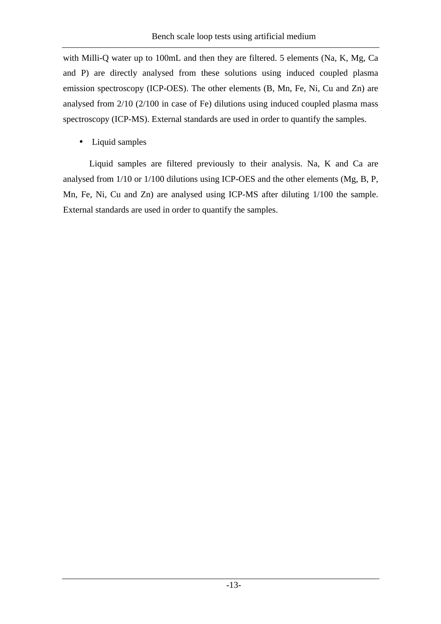with Milli-Q water up to 100mL and then they are filtered. 5 elements (Na, K, Mg, Ca and P) are directly analysed from these solutions using induced coupled plasma emission spectroscopy (ICP-OES). The other elements (B, Mn, Fe, Ni, Cu and Zn) are analysed from 2/10 (2/100 in case of Fe) dilutions using induced coupled plasma mass spectroscopy (ICP-MS). External standards are used in order to quantify the samples.

• Liquid samples

Liquid samples are filtered previously to their analysis. Na, K and Ca are analysed from 1/10 or 1/100 dilutions using ICP-OES and the other elements (Mg, B, P, Mn, Fe, Ni, Cu and Zn) are analysed using ICP-MS after diluting 1/100 the sample. External standards are used in order to quantify the samples.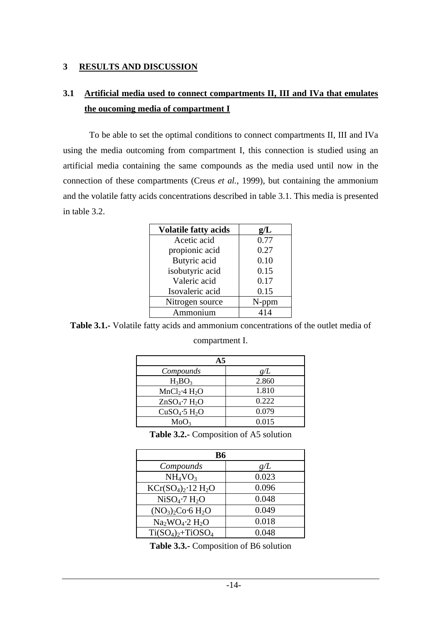#### **3 RESULTS AND DISCUSSION**

## **3.1 Artificial media used to connect compartments II, III and IVa that emulates the oucoming media of compartment I**

To be able to set the optimal conditions to connect compartments II, III and IVa using the media outcoming from compartment I, this connection is studied using an artificial media containing the same compounds as the media used until now in the connection of these compartments (Creus *et al.*, 1999), but containing the ammonium and the volatile fatty acids concentrations described in table 3.1. This media is presented in table 3.2.

| <b>Volatile fatty acids</b> | g/L  |
|-----------------------------|------|
| Acetic acid                 | 0.77 |
| propionic acid              | 0.27 |
| Butyric acid                | 0.10 |
| isobutyric acid             | 0.15 |
| Valeric acid                | 0.17 |
| Isovaleric acid             | 0.15 |
| Nitrogen source             |      |
| mmonium                     |      |

**Table 3.1.-** Volatile fatty acids and ammonium concentrations of the outlet media of

#### compartment I.

| A <sub>5</sub>                        |       |  |  |  |
|---------------------------------------|-------|--|--|--|
| Compounds                             | g/L   |  |  |  |
| $H_3BO_3$                             | 2.860 |  |  |  |
| MnCl <sub>2</sub> ·4 H <sub>2</sub> O | 1.810 |  |  |  |
| $ZnSO_4$ -7 $H_2O$                    | 0.222 |  |  |  |
| CuSO <sub>4</sub> ·5 H <sub>2</sub> O | 0.079 |  |  |  |
| MoO <sub>3</sub>                      | 0.015 |  |  |  |

**Table 3.2.-** Composition of A5 solution

| <b>B6</b>                             |       |  |  |  |
|---------------------------------------|-------|--|--|--|
| Compounds                             | g/L   |  |  |  |
| NH <sub>4</sub> VO <sub>3</sub>       | 0.023 |  |  |  |
| $KCr(SO4)2·12 H2O$                    | 0.096 |  |  |  |
| NiSO <sub>4</sub> ·7 H <sub>2</sub> O | 0.048 |  |  |  |
| $(NO_3)_2Co·6H_2O$                    | 0.049 |  |  |  |
| $Na2WO4·2 H2O$                        | 0.018 |  |  |  |
| $Ti(SO4)2+TiOSO4$                     | 0.048 |  |  |  |

**Table 3.3.-** Composition of B6 solution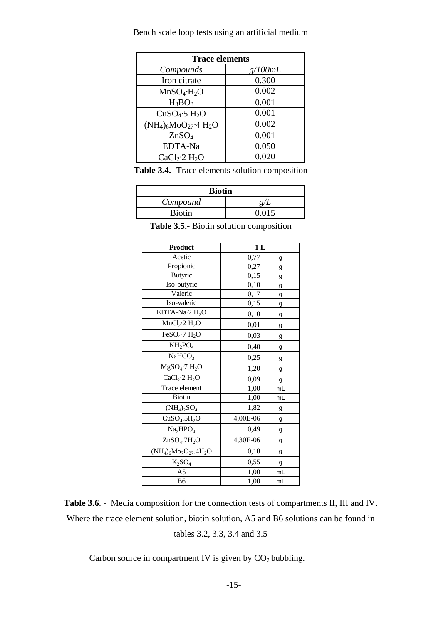| <b>Trace elements</b>                 |         |  |  |
|---------------------------------------|---------|--|--|
| Compounds                             | g/100mL |  |  |
| Iron citrate                          | 0.300   |  |  |
| $MnSO_4 \cdot H_2O$                   | 0.002   |  |  |
| $H_3BO_3$                             | 0.001   |  |  |
| CuSO <sub>4</sub> ·5 H <sub>2</sub> O | 0.001   |  |  |
| $(NH_4)_6MO_{27}$ -4 $H_2O$           | 0.002   |  |  |
| ZnSO <sub>4</sub>                     | 0.001   |  |  |
| EDTA-Na                               | 0.050   |  |  |
| CaCl <sub>2</sub> ·2 H <sub>2</sub> O | 0.020   |  |  |

**Table 3.4.-** Trace elements solution composition

| <b>Biotin</b> |  |  |  |
|---------------|--|--|--|
| Compound      |  |  |  |
| <b>Biotin</b> |  |  |  |

**Table 3.5.-** Biotin solution composition

| Product                               | 1 <sub>L</sub> |    |  |
|---------------------------------------|----------------|----|--|
| Acetic                                | 0,77           | g  |  |
| Propionic                             | 0,27           | g  |  |
| <b>Butyric</b>                        | 0,15           | g  |  |
| Iso-butyric                           | 0,10           | g  |  |
| Valeric                               | 0,17           | g  |  |
| Iso-valeric                           | 0,15           | g  |  |
| EDTA-Na $\cdot$ 2 H <sub>2</sub> O    | 0,10           | g  |  |
| MnCl <sub>2</sub> ·2 H <sub>2</sub> O | 0,01           | g  |  |
| FeSO <sub>4</sub> ·7 H <sub>2</sub> O | 0,03           | g  |  |
| $KH_2PO_4$                            | 0,40           | g  |  |
| NaHCO <sub>3</sub>                    | 0,25           | g  |  |
| MgSO <sub>4</sub> ·7 H <sub>2</sub> O | 1,20           | g  |  |
| CaCl <sub>2</sub> ·2 H <sub>2</sub> O | 0,09           | g  |  |
| Trace element                         | 1,00           | mL |  |
| <b>Biotin</b>                         | 1,00           | mL |  |
| $(NH_4)_2SO_4$                        | 1,82           | g  |  |
| CuSO <sub>4</sub> .5H <sub>2</sub> O  | 4,00E-06       | g  |  |
| Na <sub>2</sub> HPO <sub>4</sub>      | 0,49           | g  |  |
| ZnSO <sub>4</sub> .7H <sub>2</sub> O  | 4,30E-06       | g  |  |
| $(NH_4)_6Mo_7O_{27}.4H_2O$            | 0,18           | g  |  |
| $K_2SO_4$                             | 0,55           | g  |  |
| A5                                    | 1,00           | mL |  |
| B <sub>6</sub>                        | 1,00           | mL |  |

**Table 3.6**. - Media composition for the connection tests of compartments II, III and IV. Where the trace element solution, biotin solution, A5 and B6 solutions can be found in tables 3.2, 3.3, 3.4 and 3.5

Carbon source in compartment IV is given by  $CO<sub>2</sub>$  bubbling.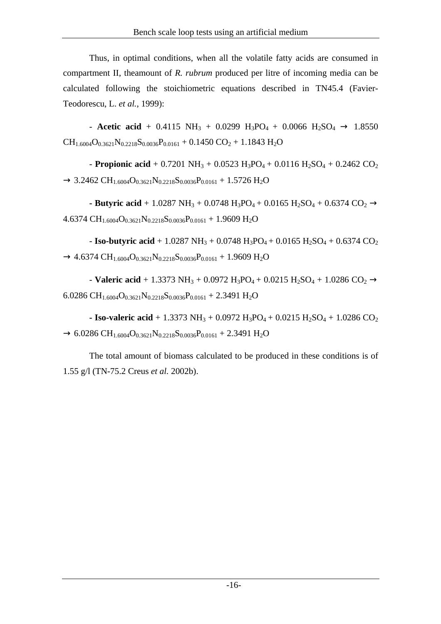Thus, in optimal conditions, when all the volatile fatty acids are consumed in compartment II, theamount of *R. rubrum* produced per litre of incoming media can be calculated following the stoichiometric equations described in TN45.4 (Favier-Teodorescu, L. *et al.*, 1999):

- **Acetic acid** + 0.4115 NH<sub>3</sub> + 0.0299 H<sub>3</sub>PO<sub>4</sub> + 0.0066 H<sub>2</sub>SO<sub>4</sub>  $\rightarrow$  1.8550  $CH_{1.6004}O_{0.3621}N_{0.2218}S_{0.0036}P_{0.0161} + 0.1450 CO_2 + 1.1843 H_2O$ 

- **Propionic acid** + 0.7201 NH<sub>3</sub> + 0.0523 H<sub>3</sub>PO<sub>4</sub> + 0.0116 H<sub>2</sub>SO<sub>4</sub> + 0.2462 CO<sub>2</sub>  $\rightarrow$  3.2462 CH<sub>1.6004</sub>O<sub>0.3621</sub>N<sub>0.2218</sub>S<sub>0.0036</sub>P<sub>0.0161</sub> + 1.5726 H<sub>2</sub>O

- Butyric acid + 1.0287 NH<sub>3</sub> + 0.0748 H<sub>3</sub>PO<sub>4</sub> + 0.0165 H<sub>2</sub>SO<sub>4</sub> + 0.6374 CO<sub>2</sub>  $\rightarrow$ 4.6374 CH<sub>1.6004</sub>O<sub>0.3621</sub>N<sub>0.2218</sub>S<sub>0.0036</sub>P<sub>0.0161</sub> + 1.9609 H<sub>2</sub>O

- **Iso-butyric acid** + 1.0287 NH<sub>3</sub> + 0.0748 H<sub>3</sub>PO<sub>4</sub> + 0.0165 H<sub>2</sub>SO<sub>4</sub> + 0.6374 CO<sub>2</sub>  $\rightarrow$  4.6374 CH<sub>1.6004</sub>O<sub>0.3621</sub>N<sub>0.2218</sub>S<sub>0.0036</sub>P<sub>0.0161</sub> + 1.9609 H<sub>2</sub>O

- **Valeric acid** + 1.3373 NH<sub>3</sub> + 0.0972 H<sub>3</sub>PO<sub>4</sub> + 0.0215 H<sub>2</sub>SO<sub>4</sub> + 1.0286 CO<sub>2</sub>  $\rightarrow$ 6.0286 CH<sub>1.6004</sub>O<sub>0.3621</sub>N<sub>0.2218</sub>S<sub>0.0036</sub>P<sub>0.0161</sub> + 2.3491 H<sub>2</sub>O

**- Iso-valeric acid** + 1.3373 NH<sub>3</sub> + 0.0972 H<sub>3</sub>PO<sub>4</sub> + 0.0215 H<sub>2</sub>SO<sub>4</sub> + 1.0286 CO<sub>2</sub>  $\rightarrow$  6.0286 CH<sub>1.6004</sub>O<sub>0.3621</sub>N<sub>0.2218</sub>S<sub>0.0036</sub>P<sub>0.0161</sub> + 2.3491 H<sub>2</sub>O

The total amount of biomass calculated to be produced in these conditions is of 1.55 g/l (TN-75.2 Creus *et al.* 2002b).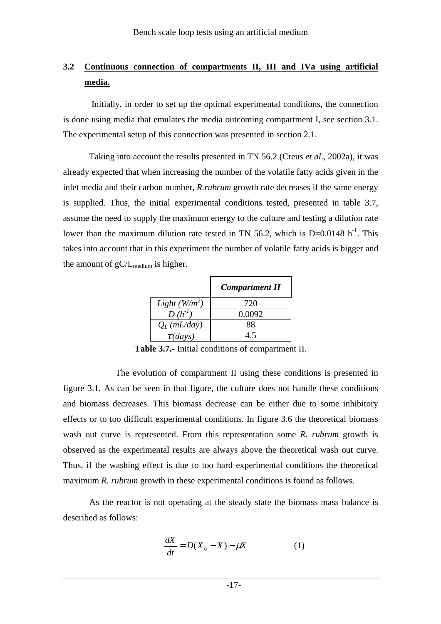## **3.2 Continuous connection of compartments II, III and IVa using artificial media.**

 Initially, in order to set up the optimal experimental conditions, the connection is done using media that emulates the media outcoming compartment I, see section 3.1. The experimental setup of this connection was presented in section 2.1.

Taking into account the results presented in TN 56.2 (Creus *et al*., 2002a), it was already expected that when increasing the number of the volatile fatty acids given in the inlet media and their carbon number*, R.rubrum* growth rate decreases if the same energy is supplied. Thus, the initial experimental conditions tested, presented in table 3.7, assume the need to supply the maximum energy to the culture and testing a dilution rate lower than the maximum dilution rate tested in TN 56.2, which is  $D=0.0148$  h<sup>-1</sup>. This takes into account that in this experiment the number of volatile fatty acids is bigger and the amount of  $gC/L_{\text{medium}}$  is higher.

|                 | <b>Compartment II</b> |
|-----------------|-----------------------|
| Light $(W/m^2)$ | 720                   |
| $D(h^{-1})$     | 0.0092                |
| $Q_L$ (mL/day)  | 88                    |
| $\tau$ (days)   |                       |

**Table 3.7.-** Initial conditions of compartment II.

 The evolution of compartment II using these conditions is presented in figure 3.1. As can be seen in that figure, the culture does not handle these conditions and biomass decreases. This biomass decrease can be either due to some inhibitory effects or to too difficult experimental conditions. In figure 3.6 the theoretical biomass wash out curve is represented. From this representation some *R. rubrum* growth is observed as the experimental results are always above the theoretical wash out curve. Thus, if the washing effect is due to too hard experimental conditions the theoretical maximum *R. rubrum* growth in these experimental conditions is found as follows.

As the reactor is not operating at the steady state the biomass mass balance is described as follows:

$$
\frac{dX}{dt} = D(X_0 - X) - \mu X \tag{1}
$$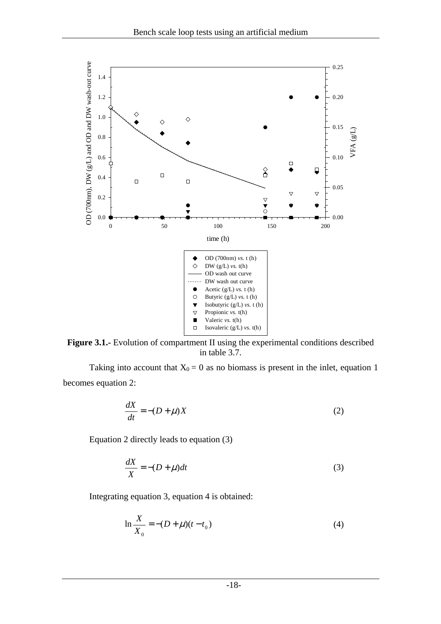

Figure 3.1.- Evolution of compartment II using the experimental conditions described in table 3.7.

Taking into account that  $X_0 = 0$  as no biomass is present in the inlet, equation 1 becomes equation 2:

$$
\frac{dX}{dt} = -(D + \mu)X\tag{2}
$$

Equation 2 directly leads to equation (3)

$$
\frac{dX}{X} = -(D + \mu)dt\tag{3}
$$

Integrating equation 3, equation 4 is obtained:

$$
\ln \frac{X}{X_0} = -(D + \mu)(t - t_0)
$$
\n(4)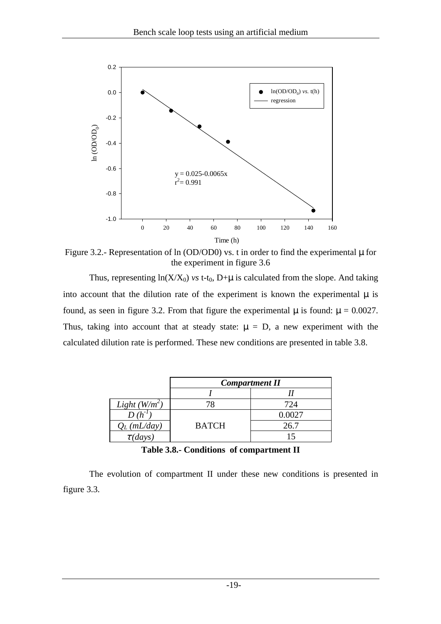

Figure 3.2.- Representation of ln (OD/OD0) vs. t in order to find the experimental  $\mu$  for the experiment in figure 3.6

Thus, representing  $ln(X/X_0)$  *vs* t-t<sub>0</sub>, D+ $\mu$  is calculated from the slope. And taking into account that the dilution rate of the experiment is known the experimental  $\mu$  is found, as seen in figure 3.2. From that figure the experimental  $\mu$  is found:  $\mu = 0.0027$ . Thus, taking into account that at steady state:  $\mu = D$ , a new experiment with the calculated dilution rate is performed. These new conditions are presented in table 3.8.

|                 | <b>Compartment II</b> |        |  |  |  |
|-----------------|-----------------------|--------|--|--|--|
|                 |                       |        |  |  |  |
| Light $(W/m^2)$ |                       | 724    |  |  |  |
|                 |                       | 0.0027 |  |  |  |
| (mL/day)        | <b>BATCH</b>          | 26.7   |  |  |  |
| $\tau$ (days)   |                       |        |  |  |  |

**Table 3.8.- Conditions of compartment II** 

The evolution of compartment II under these new conditions is presented in figure 3.3.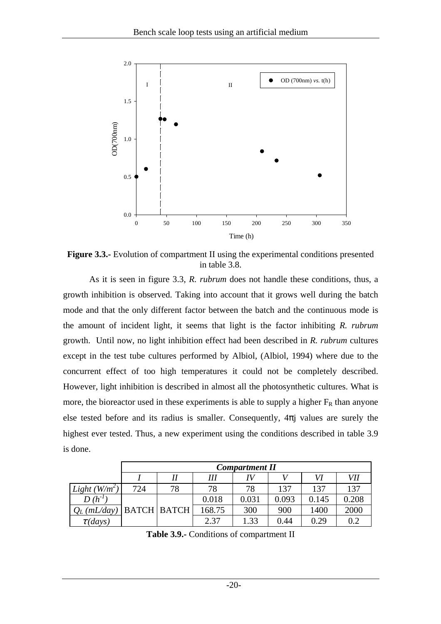

**Figure 3.3.-** Evolution of compartment II using the experimental conditions presented in table 3.8.

As it is seen in figure 3.3, *R. rubrum* does not handle these conditions, thus, a growth inhibition is observed. Taking into account that it grows well during the batch mode and that the only different factor between the batch and the continuous mode is the amount of incident light, it seems that light is the factor inhibiting *R. rubrum* growth. Until now, no light inhibition effect had been described in *R. rubrum* cultures except in the test tube cultures performed by Albiol, (Albiol, 1994) where due to the concurrent effect of too high temperatures it could not be completely described. However, light inhibition is described in almost all the photosynthetic cultures. What is more, the bioreactor used in these experiments is able to supply a higher  $F_R$  than anyone else tested before and its radius is smaller. Consequently,  $4\pi i$  values are surely the highest ever tested. Thus, a new experiment using the conditions described in table 3.9 is done.

|                 | <b>Compartment II</b> |    |        |       |       |       |       |
|-----------------|-----------------------|----|--------|-------|-------|-------|-------|
|                 |                       |    | Ш      |       |       | VI    | VII   |
| Light $(W/m^2)$ | 724                   | 78 | 78     | 78    | 137   | 137   | 137   |
| $D(h^{-1})$     |                       |    | 0.018  | 0.031 | 0.093 | 0.145 | 0.208 |
| (mL/day)        | <b>BATCH BATCH</b>    |    | 168.75 | 300   | 900   | 1400  | 2000  |
| $\tau$ (days)   |                       |    | 2.37   | 1.33  | 0.44  | 0.29  | 0.2   |

**Table 3.9.-** Conditions of compartment II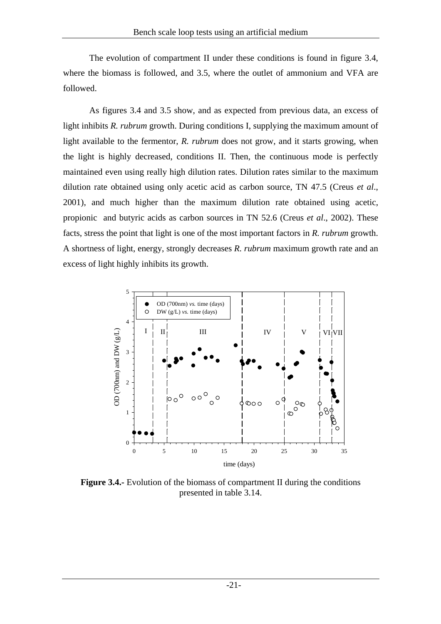The evolution of compartment II under these conditions is found in figure 3.4, where the biomass is followed, and 3.5, where the outlet of ammonium and VFA are followed.

As figures 3.4 and 3.5 show, and as expected from previous data, an excess of light inhibits *R. rubrum* growth. During conditions I, supplying the maximum amount of light available to the fermentor, *R. rubrum* does not grow, and it starts growing, when the light is highly decreased, conditions II. Then, the continuous mode is perfectly maintained even using really high dilution rates. Dilution rates similar to the maximum dilution rate obtained using only acetic acid as carbon source, TN 47.5 (Creus *et al*., 2001), and much higher than the maximum dilution rate obtained using acetic, propionic and butyric acids as carbon sources in TN 52.6 (Creus *et al*., 2002). These facts, stress the point that light is one of the most important factors in *R. rubrum* growth. A shortness of light, energy, strongly decreases *R. rubrum* maximum growth rate and an excess of light highly inhibits its growth.



**Figure 3.4.-** Evolution of the biomass of compartment II during the conditions presented in table 3.14.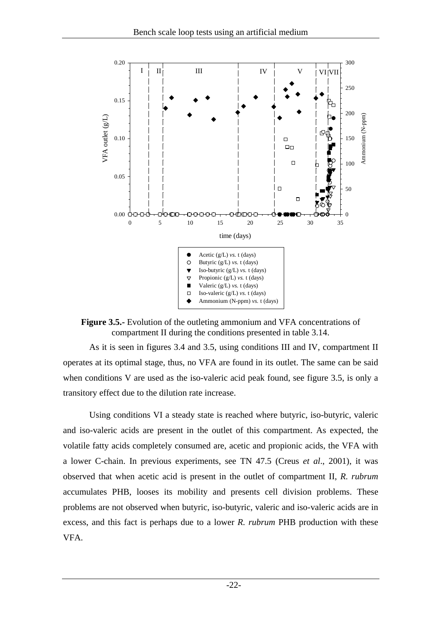

**Figure 3.5.-** Evolution of the outleting ammonium and VFA concentrations of compartment II during the conditions presented in table 3.14.

As it is seen in figures 3.4 and 3.5, using conditions III and IV, compartment II operates at its optimal stage, thus, no VFA are found in its outlet. The same can be said when conditions V are used as the iso-valeric acid peak found, see figure 3.5, is only a transitory effect due to the dilution rate increase.

Using conditions VI a steady state is reached where butyric, iso-butyric, valeric and iso-valeric acids are present in the outlet of this compartment. As expected, the volatile fatty acids completely consumed are, acetic and propionic acids, the VFA with a lower C-chain. In previous experiments, see TN 47.5 (Creus *et al*., 2001), it was observed that when acetic acid is present in the outlet of compartment II, *R. rubrum* accumulates PHB, looses its mobility and presents cell division problems. These problems are not observed when butyric, iso-butyric, valeric and iso-valeric acids are in excess, and this fact is perhaps due to a lower *R. rubrum* PHB production with these VFA.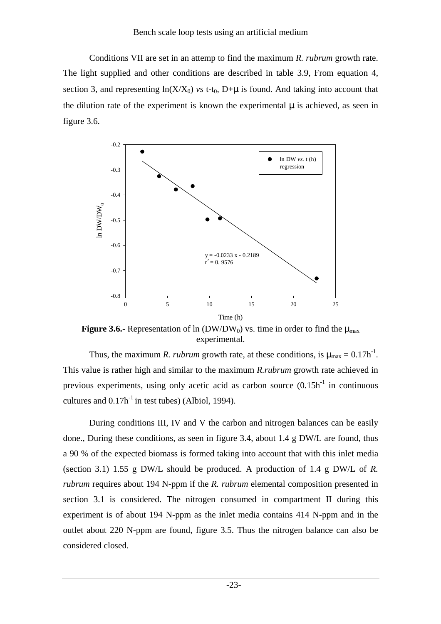Conditions VII are set in an attemp to find the maximum *R. rubrum* growth rate. The light supplied and other conditions are described in table 3.9, From equation 4, section 3, and representing  $ln(X/X_0)$  *vs* t-t<sub>0</sub>, D+ $\mu$  is found. And taking into account that the dilution rate of the experiment is known the experimental  $\mu$  is achieved, as seen in figure 3.6.



**Figure 3.6.-** Representation of ln (DW/DW<sub>0</sub>) vs. time in order to find the  $\mu_{\text{max}}$ experimental.

Thus, the maximum *R. rubrum* growth rate, at these conditions, is  $\mu_{\text{max}} = 0.17h^{-1}$ . This value is rather high and similar to the maximum *R.rubrum* growth rate achieved in previous experiments, using only acetic acid as carbon source  $(0.15h<sup>-1</sup>$  in continuous cultures and  $0.17h^{-1}$  in test tubes) (Albiol, 1994).

During conditions III, IV and V the carbon and nitrogen balances can be easily done., During these conditions, as seen in figure 3.4, about 1.4 g DW/L are found, thus a 90 % of the expected biomass is formed taking into account that with this inlet media (section 3.1) 1.55 g DW/L should be produced. A production of 1.4 g DW/L of *R. rubrum* requires about 194 N-ppm if the *R. rubrum* elemental composition presented in section 3.1 is considered. The nitrogen consumed in compartment II during this experiment is of about 194 N-ppm as the inlet media contains 414 N-ppm and in the outlet about 220 N-ppm are found, figure 3.5. Thus the nitrogen balance can also be considered closed.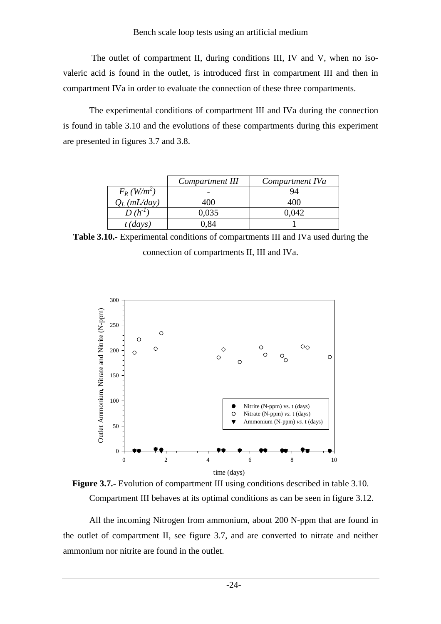The outlet of compartment II, during conditions III, IV and V, when no isovaleric acid is found in the outlet, is introduced first in compartment III and then in compartment IVa in order to evaluate the connection of these three compartments.

The experimental conditions of compartment III and IVa during the connection is found in table 3.10 and the evolutions of these compartments during this experiment are presented in figures 3.7 and 3.8.

|                           | Compartment III | Compartment IVa |
|---------------------------|-----------------|-----------------|
| $F_R$ (W/m <sup>2</sup> ) |                 | 94              |
| $Q_L$ (mL/day)            | 400             | 400             |
|                           | 0.035           | ).042           |
| $t$ (days)                | 0.84            |                 |

**Table 3.10.-** Experimental conditions of compartments III and IVa used during the connection of compartments II, III and IVa.



**Figure 3.7.-** Evolution of compartment III using conditions described in table 3.10. Compartment III behaves at its optimal conditions as can be seen in figure 3.12.

All the incoming Nitrogen from ammonium, about 200 N-ppm that are found in the outlet of compartment II, see figure 3.7, and are converted to nitrate and neither ammonium nor nitrite are found in the outlet.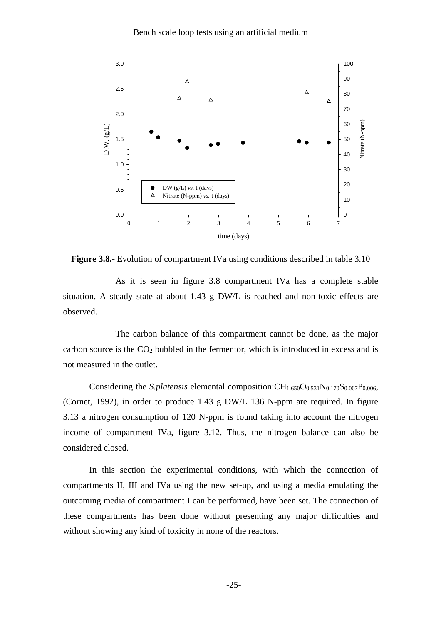

**Figure 3.8.-** Evolution of compartment IVa using conditions described in table 3.10

As it is seen in figure 3.8 compartment IVa has a complete stable situation. A steady state at about 1.43 g DW/L is reached and non-toxic effects are observed.

 The carbon balance of this compartment cannot be done, as the major carbon source is the  $CO<sub>2</sub>$  bubbled in the fermentor, which is introduced in excess and is not measured in the outlet.

Considering the *S.platensis* elemental composition: $CH_{1.650}O_{0.531}N_{0.170}S_{0.007}P_{0.006}$ , (Cornet, 1992), in order to produce 1.43 g DW/L 136 N-ppm are required. In figure 3.13 a nitrogen consumption of 120 N-ppm is found taking into account the nitrogen income of compartment IVa, figure 3.12. Thus, the nitrogen balance can also be considered closed.

In this section the experimental conditions, with which the connection of compartments II, III and IVa using the new set-up, and using a media emulating the outcoming media of compartment I can be performed, have been set. The connection of these compartments has been done without presenting any major difficulties and without showing any kind of toxicity in none of the reactors.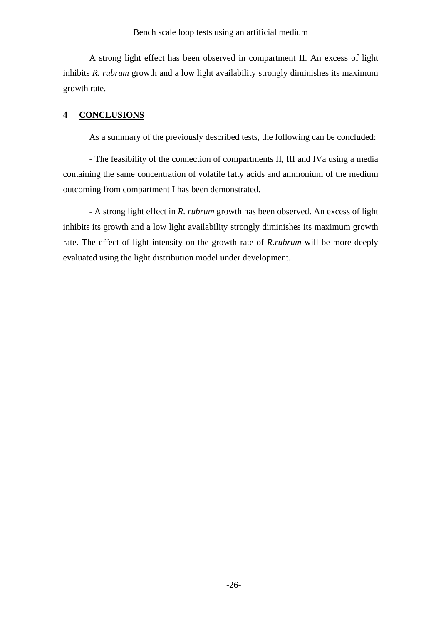A strong light effect has been observed in compartment II. An excess of light inhibits *R. rubrum* growth and a low light availability strongly diminishes its maximum growth rate.

## **4 CONCLUSIONS**

As a summary of the previously described tests, the following can be concluded:

- The feasibility of the connection of compartments II, III and IVa using a media containing the same concentration of volatile fatty acids and ammonium of the medium outcoming from compartment I has been demonstrated.

- A strong light effect in *R. rubrum* growth has been observed. An excess of light inhibits its growth and a low light availability strongly diminishes its maximum growth rate. The effect of light intensity on the growth rate of *R.rubrum* will be more deeply evaluated using the light distribution model under development.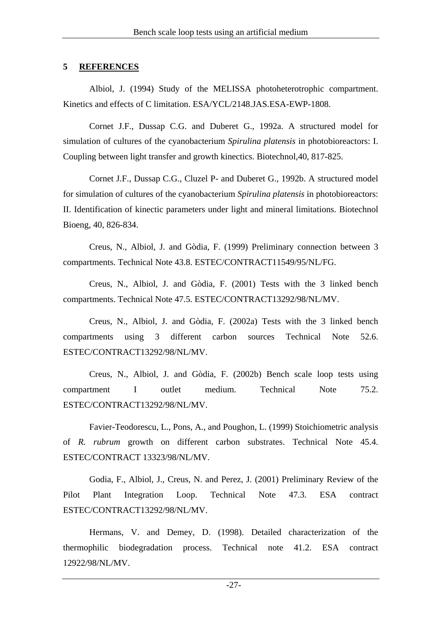#### **5 REFERENCES**

Albiol, J. (1994) Study of the MELISSA photoheterotrophic compartment. Kinetics and effects of C limitation. ESA/YCL/2148.JAS.ESA-EWP-1808.

Cornet J.F., Dussap C.G. and Duberet G., 1992a. A structured model for simulation of cultures of the cyanobacterium *Spirulina platensis* in photobioreactors: I. Coupling between light transfer and growth kinectics. Biotechnol,40, 817-825.

Cornet J.F., Dussap C.G., Cluzel P- and Duberet G., 1992b. A structured model for simulation of cultures of the cyanobacterium *Spirulina platensis* in photobioreactors: II. Identification of kinectic parameters under light and mineral limitations. Biotechnol Bioeng, 40, 826-834.

Creus, N., Albiol, J. and Gòdia, F. (1999) Preliminary connection between 3 compartments. Technical Note 43.8. ESTEC/CONTRACT11549/95/NL/FG.

Creus, N., Albiol, J. and Gòdia, F. (2001) Tests with the 3 linked bench compartments. Technical Note 47.5. ESTEC/CONTRACT13292/98/NL/MV.

Creus, N., Albiol, J. and Gòdia, F. (2002a) Tests with the 3 linked bench compartments using 3 different carbon sources Technical Note 52.6. ESTEC/CONTRACT13292/98/NL/MV.

Creus, N., Albiol, J. and Gòdia, F. (2002b) Bench scale loop tests using compartment I outlet medium. Technical Note 75.2. ESTEC/CONTRACT13292/98/NL/MV.

Favier-Teodorescu, L., Pons, A., and Poughon, L. (1999) Stoichiometric analysis of *R. rubrum* growth on different carbon substrates. Technical Note 45.4. ESTEC/CONTRACT 13323/98/NL/MV.

Godia, F., Albiol, J., Creus, N. and Perez, J. (2001) Preliminary Review of the Pilot Plant Integration Loop. Technical Note 47.3. ESA contract ESTEC/CONTRACT13292/98/NL/MV.

Hermans, V. and Demey, D. (1998). Detailed characterization of the thermophilic biodegradation process. Technical note 41.2. ESA contract 12922/98/NL/MV.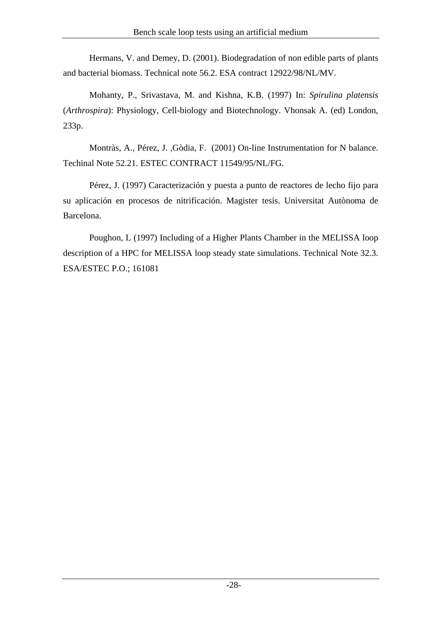Hermans, V. and Demey, D. (2001). Biodegradation of non edible parts of plants and bacterial biomass. Technical note 56.2. ESA contract 12922/98/NL/MV.

Mohanty, P., Srivastava, M. and Kishna, K.B. (1997) In: *Spirulina platensis* (*Arthrospira*): Physiology, Cell-biology and Biotechnology. Vhonsak A. (ed) London, 233p.

Montràs, A., Pérez, J. ,Gòdia, F. (2001) On-line Instrumentation for N balance. Techinal Note 52.21. ESTEC CONTRACT 11549/95/NL/FG.

Pérez, J. (1997) Caracterización y puesta a punto de reactores de lecho fijo para su aplicación en procesos de nitrificación. Magister tesis. Universitat Autònoma de Barcelona.

Poughon, L (1997) Including of a Higher Plants Chamber in the MELISSA loop description of a HPC for MELISSA loop steady state simulations. Technical Note 32.3. ESA/ESTEC P.O.; 161081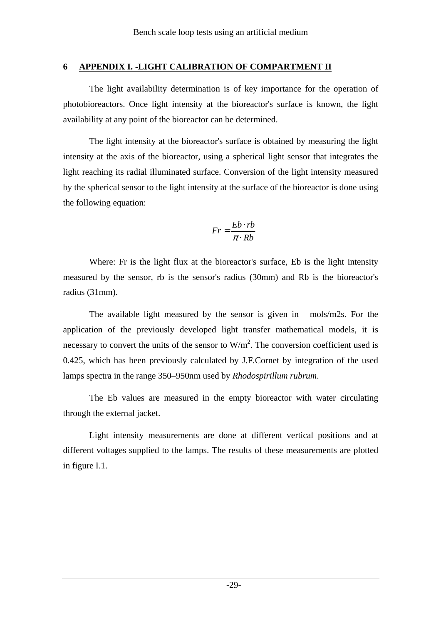#### **6 APPENDIX I. -LIGHT CALIBRATION OF COMPARTMENT II**

The light availability determination is of key importance for the operation of photobioreactors. Once light intensity at the bioreactor's surface is known, the light availability at any point of the bioreactor can be determined.

The light intensity at the bioreactor's surface is obtained by measuring the light intensity at the axis of the bioreactor, using a spherical light sensor that integrates the light reaching its radial illuminated surface. Conversion of the light intensity measured by the spherical sensor to the light intensity at the surface of the bioreactor is done using the following equation:

$$
Fr = \frac{Eb \cdot rb}{\pi \cdot Rb}
$$

Where: Fr is the light flux at the bioreactor's surface, Eb is the light intensity measured by the sensor, rb is the sensor's radius (30mm) and Rb is the bioreactor's radius (31mm).

The available light measured by the sensor is given in mols/m2s. For the application of the previously developed light transfer mathematical models, it is necessary to convert the units of the sensor to  $W/m<sup>2</sup>$ . The conversion coefficient used is 0.425, which has been previously calculated by J.F.Cornet by integration of the used lamps spectra in the range 350–950nm used by *Rhodospirillum rubrum*.

The Eb values are measured in the empty bioreactor with water circulating through the external jacket.

Light intensity measurements are done at different vertical positions and at different voltages supplied to the lamps. The results of these measurements are plotted in figure I.1.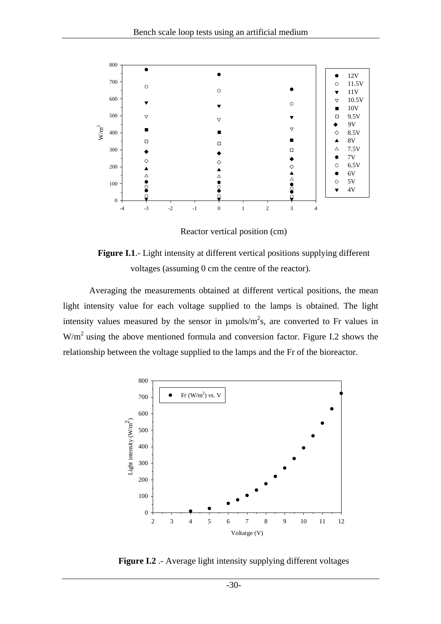

Reactor vertical position (cm)



Averaging the measurements obtained at different vertical positions, the mean light intensity value for each voltage supplied to the lamps is obtained. The light intensity values measured by the sensor in  $\mu$ mols/m<sup>2</sup>s, are converted to Fr values in W/m2 using the above mentioned formula and conversion factor. Figure I.2 shows the relationship between the voltage supplied to the lamps and the Fr of the bioreactor.



**Figure I.2** .- Average light intensity supplying different voltages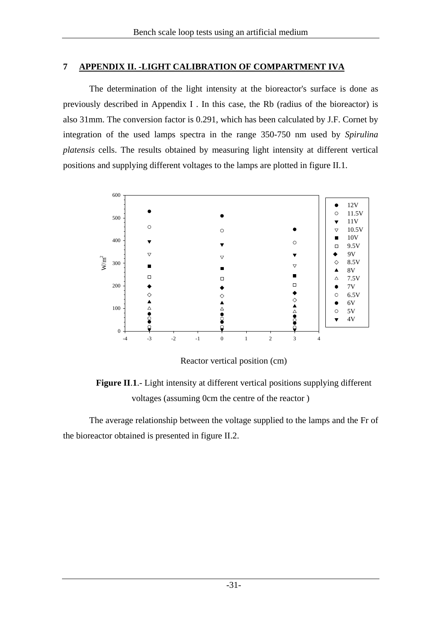#### **7 APPENDIX II. -LIGHT CALIBRATION OF COMPARTMENT IVA**

The determination of the light intensity at the bioreactor's surface is done as previously described in Appendix I . In this case, the Rb (radius of the bioreactor) is also 31mm. The conversion factor is 0.291, which has been calculated by J.F. Cornet by integration of the used lamps spectra in the range 350-750 nm used by *Spirulina platensis* cells. The results obtained by measuring light intensity at different vertical positions and supplying different voltages to the lamps are plotted in figure II.1.



Reactor vertical position (cm)

**Figure II**.**1**.- Light intensity at different vertical positions supplying different voltages (assuming 0cm the centre of the reactor )

The average relationship between the voltage supplied to the lamps and the Fr of the bioreactor obtained is presented in figure II.2.